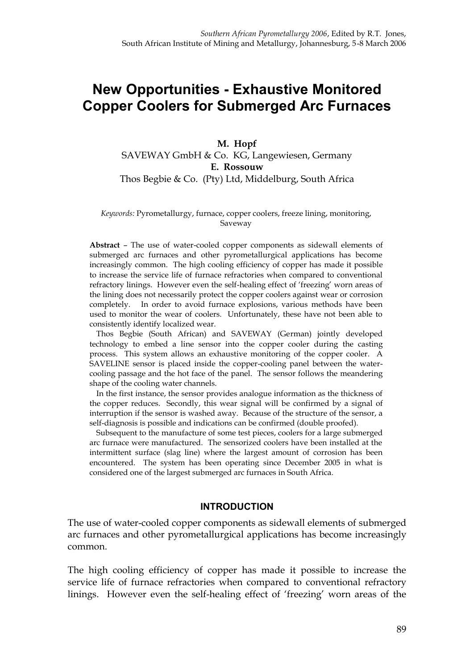# **New Opportunities - Exhaustive Monitored Copper Coolers for Submerged Arc Furnaces**

### **M. Hopf** SAVEWAY GmbH & Co. KG, Langewiesen, Germany **E. Rossouw** Thos Begbie & Co. (Pty) Ltd, Middelburg, South Africa

#### *Keywords:* Pyrometallurgy, furnace, copper coolers, freeze lining, monitoring, Saveway

**Abstract** – The use of water-cooled copper components as sidewall elements of submerged arc furnaces and other pyrometallurgical applications has become increasingly common. The high cooling efficiency of copper has made it possible to increase the service life of furnace refractories when compared to conventional refractory linings. However even the self-healing effect of 'freezing' worn areas of the lining does not necessarily protect the copper coolers against wear or corrosion completely. In order to avoid furnace explosions, various methods have been used to monitor the wear of coolers. Unfortunately, these have not been able to consistently identify localized wear.

Thos Begbie (South African) and SAVEWAY (German) jointly developed technology to embed a line sensor into the copper cooler during the casting process. This system allows an exhaustive monitoring of the copper cooler. A SAVELINE sensor is placed inside the copper-cooling panel between the watercooling passage and the hot face of the panel. The sensor follows the meandering shape of the cooling water channels.

In the first instance, the sensor provides analogue information as the thickness of the copper reduces. Secondly, this wear signal will be confirmed by a signal of interruption if the sensor is washed away. Because of the structure of the sensor, a self-diagnosis is possible and indications can be confirmed (double proofed).

Subsequent to the manufacture of some test pieces, coolers for a large submerged arc furnace were manufactured. The sensorized coolers have been installed at the intermittent surface (slag line) where the largest amount of corrosion has been encountered. The system has been operating since December 2005 in what is considered one of the largest submerged arc furnaces in South Africa.

#### **INTRODUCTION**

The use of water-cooled copper components as sidewall elements of submerged arc furnaces and other pyrometallurgical applications has become increasingly common.

The high cooling efficiency of copper has made it possible to increase the service life of furnace refractories when compared to conventional refractory linings. However even the self-healing effect of 'freezing' worn areas of the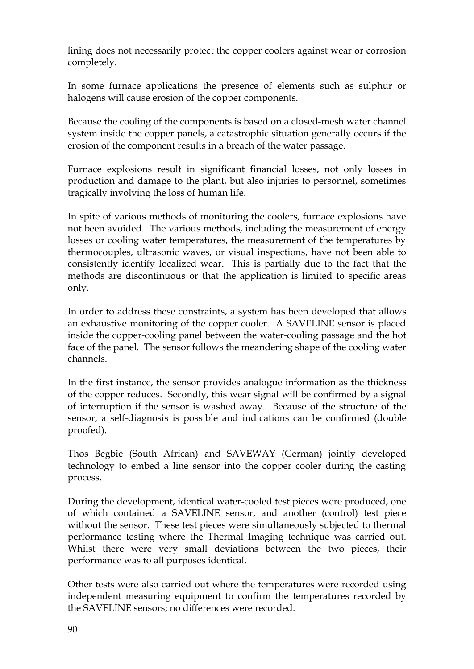lining does not necessarily protect the copper coolers against wear or corrosion completely.

In some furnace applications the presence of elements such as sulphur or halogens will cause erosion of the copper components.

Because the cooling of the components is based on a closed-mesh water channel system inside the copper panels, a catastrophic situation generally occurs if the erosion of the component results in a breach of the water passage.

Furnace explosions result in significant financial losses, not only losses in production and damage to the plant, but also injuries to personnel, sometimes tragically involving the loss of human life.

In spite of various methods of monitoring the coolers, furnace explosions have not been avoided. The various methods, including the measurement of energy losses or cooling water temperatures, the measurement of the temperatures by thermocouples, ultrasonic waves, or visual inspections, have not been able to consistently identify localized wear. This is partially due to the fact that the methods are discontinuous or that the application is limited to specific areas only.

In order to address these constraints, a system has been developed that allows an exhaustive monitoring of the copper cooler. A SAVELINE sensor is placed inside the copper-cooling panel between the water-cooling passage and the hot face of the panel. The sensor follows the meandering shape of the cooling water channels.

In the first instance, the sensor provides analogue information as the thickness of the copper reduces. Secondly, this wear signal will be confirmed by a signal of interruption if the sensor is washed away. Because of the structure of the sensor, a self-diagnosis is possible and indications can be confirmed (double proofed).

Thos Begbie (South African) and SAVEWAY (German) jointly developed technology to embed a line sensor into the copper cooler during the casting process.

During the development, identical water-cooled test pieces were produced, one of which contained a SAVELINE sensor, and another (control) test piece without the sensor. These test pieces were simultaneously subjected to thermal performance testing where the Thermal Imaging technique was carried out. Whilst there were very small deviations between the two pieces, their performance was to all purposes identical.

Other tests were also carried out where the temperatures were recorded using independent measuring equipment to confirm the temperatures recorded by the SAVELINE sensors; no differences were recorded.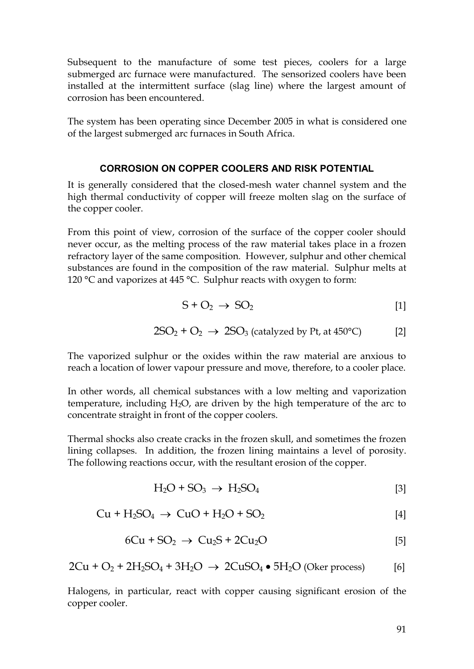Subsequent to the manufacture of some test pieces, coolers for a large submerged arc furnace were manufactured. The sensorized coolers have been installed at the intermittent surface (slag line) where the largest amount of corrosion has been encountered.

The system has been operating since December 2005 in what is considered one of the largest submerged arc furnaces in South Africa.

#### **CORROSION ON COPPER COOLERS AND RISK POTENTIAL**

It is generally considered that the closed-mesh water channel system and the high thermal conductivity of copper will freeze molten slag on the surface of the copper cooler.

From this point of view, corrosion of the surface of the copper cooler should never occur, as the melting process of the raw material takes place in a frozen refractory layer of the same composition. However, sulphur and other chemical substances are found in the composition of the raw material. Sulphur melts at 120 °C and vaporizes at 445 °C. Sulphur reacts with oxygen to form:

$$
S + O_2 \rightarrow SO_2 \tag{1}
$$

$$
2SO_2 + O_2 \rightarrow 2SO_3 \text{ (catalyzed by Pt, at 450°C)} \tag{2}
$$

The vaporized sulphur or the oxides within the raw material are anxious to reach a location of lower vapour pressure and move, therefore, to a cooler place.

In other words, all chemical substances with a low melting and vaporization temperature, including H2O, are driven by the high temperature of the arc to concentrate straight in front of the copper coolers.

Thermal shocks also create cracks in the frozen skull, and sometimes the frozen lining collapses. In addition, the frozen lining maintains a level of porosity. The following reactions occur, with the resultant erosion of the copper.

$$
H_2O + SO_3 \rightarrow H_2SO_4 \tag{3}
$$

$$
Cu + H2SO4 \rightarrow CuO + H2O + SO2
$$
 [4]

$$
6Cu + SO2 \rightarrow Cu2S + 2Cu2O
$$
 [5]

$$
2Cu + O2 + 2H2SO4 + 3H2O \rightarrow 2CuSO4 \bullet 5H2O (Oker process)
$$
 [6]

Halogens, in particular, react with copper causing significant erosion of the copper cooler.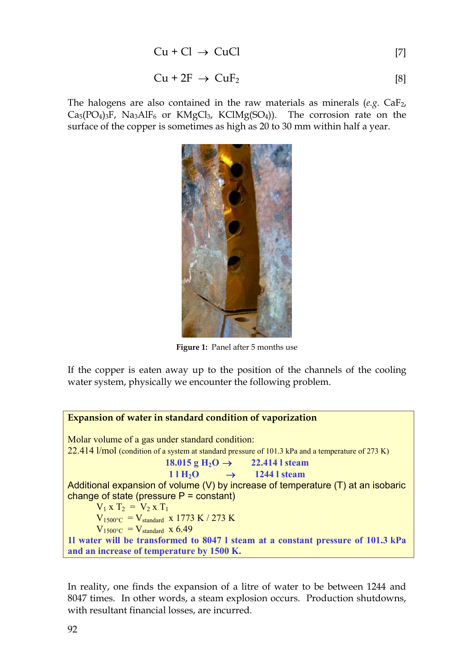$$
Cu + Cl \rightarrow CuCl
$$
 [7]

$$
Cu + 2F \rightarrow CuF_2 \tag{8}
$$

The halogens are also contained in the raw materials as minerals  $(e.g. CaF<sub>2</sub>)$  $Ca<sub>5</sub>(PO<sub>4</sub>)<sub>3</sub>F$ , Na<sub>3</sub>AlF<sub>6</sub> or KMgCl<sub>3</sub>, KClMg(SO<sub>4</sub>)). The corrosion rate on the surface of the copper is sometimes as high as 20 to 30 mm within half a year.



**Figure 1:** Panel after 5 months use

If the copper is eaten away up to the position of the channels of the cooling water system, physically we encounter the following problem.

**Expansion of water in standard condition of vaporization** Molar volume of a gas under standard condition: 22.414 l/mol (condition of a system at standard pressure of 101.3 kPa and a temperature of 273 K) **18.015 g**  $H_2O \to 22.414$  **exam**  $11 \text{ H}_2\text{O} \rightarrow 1244 \text{ I steam}$ Additional expansion of volume (V) by increase of temperature (T) at an isobaric change of state (pressure  $P = constant$ )  $V_1 x T_2 = V_2 x T_1$  $V_{1500\degree C} = V_{standard} \times 1773 \text{ K} / 273 \text{ K}$  $V_{1500\degree C} = V_{standard}$  x 6.49 **1l water will be transformed to 8047 l steam at a constant pressure of 101.3 kPa and an increase of temperature by 1500 K.**

In reality, one finds the expansion of a litre of water to be between 1244 and 8047 times. In other words, a steam explosion occurs. Production shutdowns, with resultant financial losses, are incurred.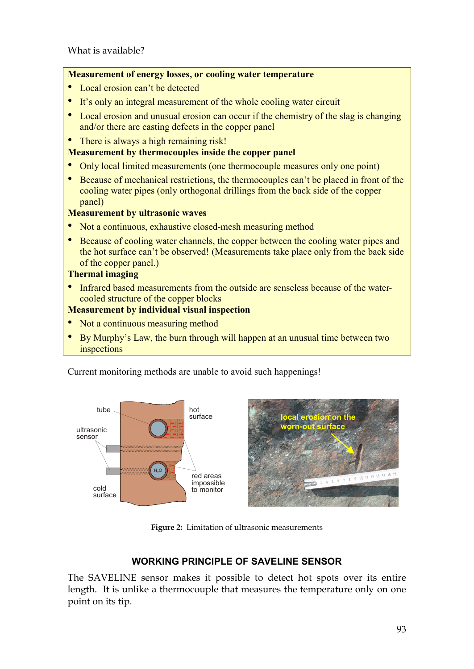### **Measurement of energy losses, or cooling water temperature**

- Local erosion can't be detected
- It's only an integral measurement of the whole cooling water circuit
- Local erosion and unusual erosion can occur if the chemistry of the slag is changing and/or there are casting defects in the copper panel
- There is always a high remaining risk!

# **Measurement by thermocouples inside the copper panel**

- Only local limited measurements (one thermocouple measures only one point)
- Because of mechanical restrictions, the thermocouples can't be placed in front of the cooling water pipes (only orthogonal drillings from the back side of the copper panel)

# **Measurement by ultrasonic waves**

- Not a continuous, exhaustive closed-mesh measuring method
- Because of cooling water channels, the copper between the cooling water pipes and the hot surface can't be observed! (Measurements take place only from the back side of the copper panel.)

#### **Thermal imaging**

• Infrared based measurements from the outside are senseless because of the watercooled structure of the copper blocks

# **Measurement by individual visual inspection**

- Not a continuous measuring method
- By Murphy's Law, the burn through will happen at an unusual time between two inspections

Current monitoring methods are unable to avoid such happenings!



**Figure 2:** Limitation of ultrasonic measurements

# **WORKING PRINCIPLE OF SAVELINE SENSOR**

The SAVELINE sensor makes it possible to detect hot spots over its entire length. It is unlike a thermocouple that measures the temperature only on one point on its tip.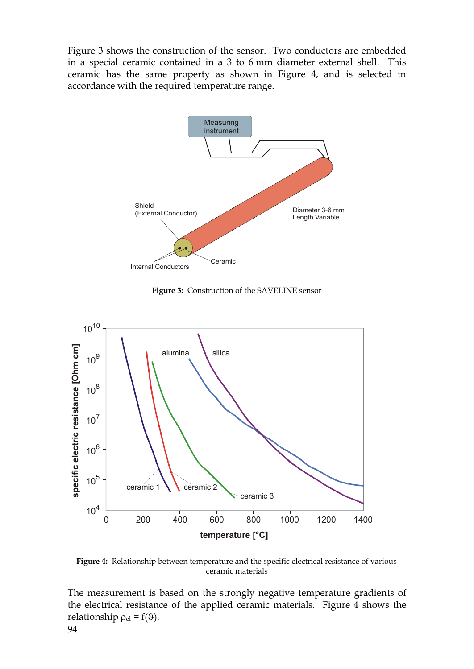Figure 3 shows the construction of the sensor. Two conductors are embedded in a special ceramic contained in a 3 to 6 mm diameter external shell. This ceramic has the same property as shown in Figure 4, and is selected in accordance with the required temperature range.



**Figure 3:** Construction of the SAVELINE sensor



**Figure 4:** Relationship between temperature and the specific electrical resistance of various ceramic materials

The measurement is based on the strongly negative temperature gradients of the electrical resistance of the applied ceramic materials. Figure 4 shows the relationship  $\rho_{el} = f(9)$ .

94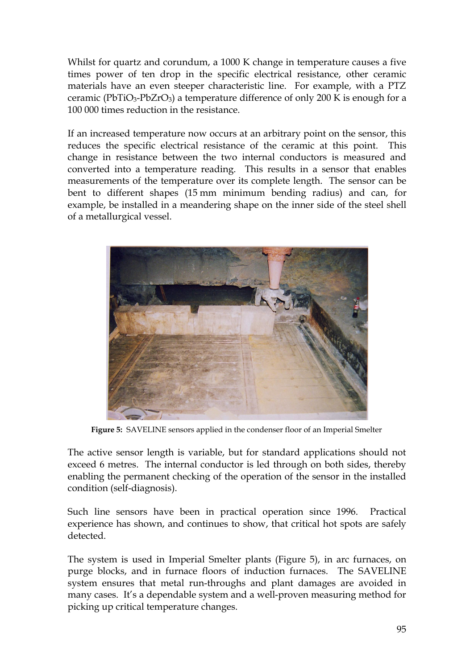Whilst for quartz and corundum, a 1000 K change in temperature causes a five times power of ten drop in the specific electrical resistance, other ceramic materials have an even steeper characteristic line. For example, with a PTZ ceramic (PbTiO3-PbZrO3) a temperature difference of only 200 K is enough for a 100 000 times reduction in the resistance.

If an increased temperature now occurs at an arbitrary point on the sensor, this reduces the specific electrical resistance of the ceramic at this point. This change in resistance between the two internal conductors is measured and converted into a temperature reading. This results in a sensor that enables measurements of the temperature over its complete length. The sensor can be bent to different shapes (15 mm minimum bending radius) and can, for example, be installed in a meandering shape on the inner side of the steel shell of a metallurgical vessel.



**Figure 5:** SAVELINE sensors applied in the condenser floor of an Imperial Smelter

The active sensor length is variable, but for standard applications should not exceed 6 metres. The internal conductor is led through on both sides, thereby enabling the permanent checking of the operation of the sensor in the installed condition (self-diagnosis).

Such line sensors have been in practical operation since 1996. Practical experience has shown, and continues to show, that critical hot spots are safely detected.

The system is used in Imperial Smelter plants (Figure 5), in arc furnaces, on purge blocks, and in furnace floors of induction furnaces. The SAVELINE system ensures that metal run-throughs and plant damages are avoided in many cases. It's a dependable system and a well-proven measuring method for picking up critical temperature changes.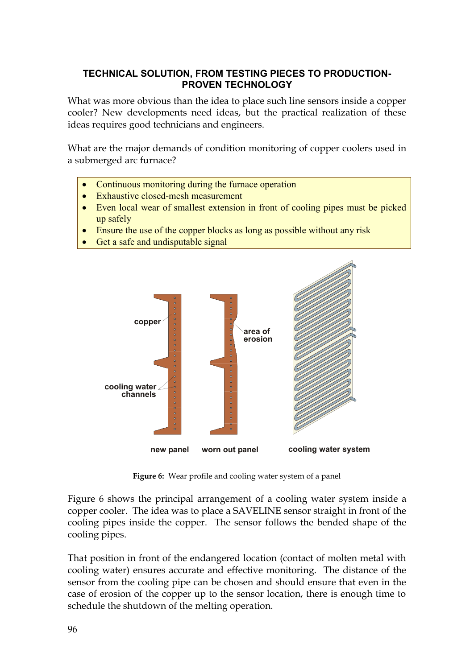# **TECHNICAL SOLUTION, FROM TESTING PIECES TO PRODUCTION-PROVEN TECHNOLOGY**

What was more obvious than the idea to place such line sensors inside a copper cooler? New developments need ideas, but the practical realization of these ideas requires good technicians and engineers.

What are the major demands of condition monitoring of copper coolers used in a submerged arc furnace?

- Continuous monitoring during the furnace operation
- **Exhaustive closed-mesh measurement**
- Even local wear of smallest extension in front of cooling pipes must be picked up safely
- Ensure the use of the copper blocks as long as possible without any risk
- Get a safe and undisputable signal



**Figure 6:** Wear profile and cooling water system of a panel

Figure 6 shows the principal arrangement of a cooling water system inside a copper cooler. The idea was to place a SAVELINE sensor straight in front of the cooling pipes inside the copper. The sensor follows the bended shape of the cooling pipes.

That position in front of the endangered location (contact of molten metal with cooling water) ensures accurate and effective monitoring. The distance of the sensor from the cooling pipe can be chosen and should ensure that even in the case of erosion of the copper up to the sensor location, there is enough time to schedule the shutdown of the melting operation.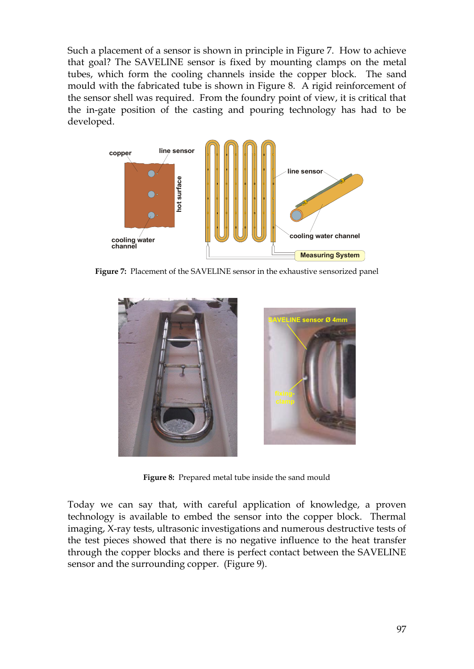Such a placement of a sensor is shown in principle in Figure 7. How to achieve that goal? The SAVELINE sensor is fixed by mounting clamps on the metal tubes, which form the cooling channels inside the copper block. The sand mould with the fabricated tube is shown in Figure 8. A rigid reinforcement of the sensor shell was required. From the foundry point of view, it is critical that the in-gate position of the casting and pouring technology has had to be developed.



**Figure 7:** Placement of the SAVELINE sensor in the exhaustive sensorized panel



**Figure 8:** Prepared metal tube inside the sand mould

Today we can say that, with careful application of knowledge, a proven technology is available to embed the sensor into the copper block. Thermal imaging, X-ray tests, ultrasonic investigations and numerous destructive tests of the test pieces showed that there is no negative influence to the heat transfer through the copper blocks and there is perfect contact between the SAVELINE sensor and the surrounding copper. (Figure 9).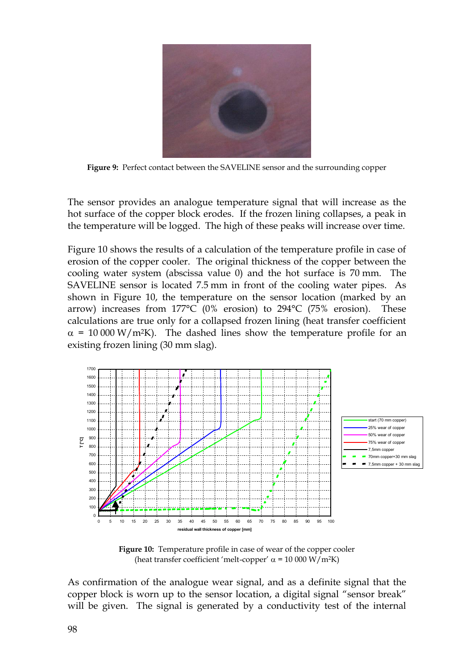

**Figure 9:** Perfect contact between the SAVELINE sensor and the surrounding copper

The sensor provides an analogue temperature signal that will increase as the hot surface of the copper block erodes. If the frozen lining collapses, a peak in the temperature will be logged. The high of these peaks will increase over time.

Figure 10 shows the results of a calculation of the temperature profile in case of erosion of the copper cooler. The original thickness of the copper between the cooling water system (abscissa value 0) and the hot surface is 70 mm. The SAVELINE sensor is located 7.5 mm in front of the cooling water pipes. As shown in Figure 10, the temperature on the sensor location (marked by an arrow) increases from 177°C (0% erosion) to 294°C (75% erosion). These calculations are true only for a collapsed frozen lining (heat transfer coefficient  $\alpha$  = 10 000 W/m<sup>2</sup>K). The dashed lines show the temperature profile for an existing frozen lining (30 mm slag).



**Figure 10:** Temperature profile in case of wear of the copper cooler (heat transfer coefficient 'melt-copper'  $\alpha$  = 10 000 W/m<sup>2</sup>K)

As confirmation of the analogue wear signal, and as a definite signal that the copper block is worn up to the sensor location, a digital signal "sensor break" will be given. The signal is generated by a conductivity test of the internal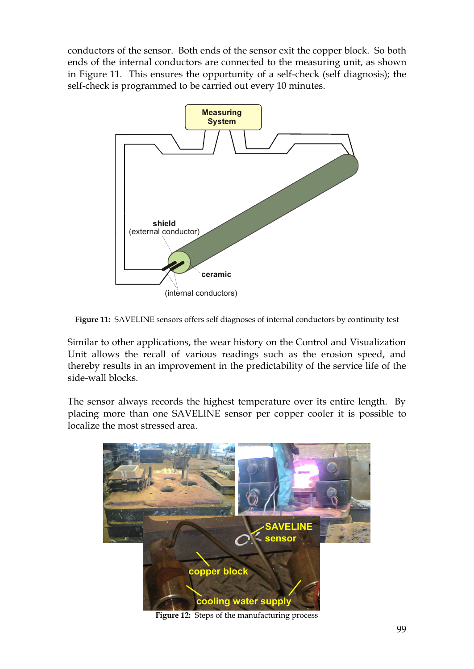conductors of the sensor. Both ends of the sensor exit the copper block. So both ends of the internal conductors are connected to the measuring unit, as shown in Figure 11. This ensures the opportunity of a self-check (self diagnosis); the self-check is programmed to be carried out every 10 minutes.



**Figure 11:** SAVELINE sensors offers self diagnoses of internal conductors by continuity test

Similar to other applications, the wear history on the Control and Visualization Unit allows the recall of various readings such as the erosion speed, and thereby results in an improvement in the predictability of the service life of the side-wall blocks.

The sensor always records the highest temperature over its entire length. By placing more than one SAVELINE sensor per copper cooler it is possible to localize the most stressed area.



**Figure 12:** Steps of the manufacturing process